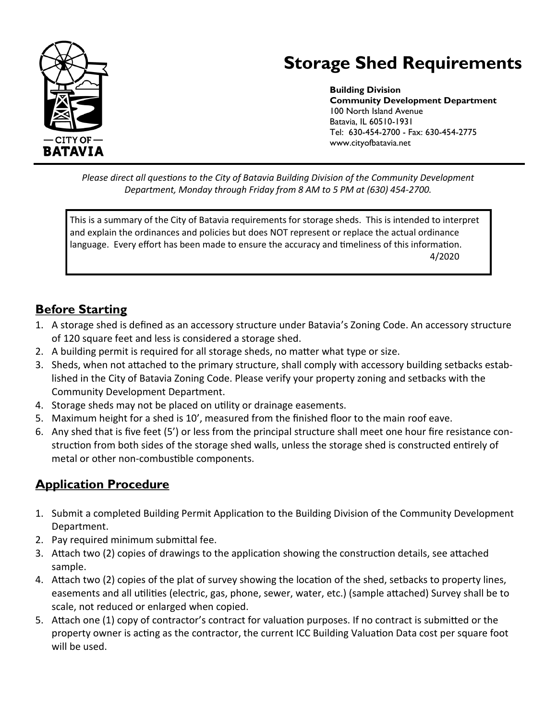

# **Storage Shed Requirements**

**Building Division Community Development Department** 100 North Island Avenue Batavia, IL 60510-1931 Tel: 630-454-2700 - Fax: 630-454-2775 www.cityofbatavia.net

*Please direct all questions to the City of Batavia Building Division of the Community Development Department, Monday through Friday from 8 AM to 5 PM at (630) 454-2700.*

This is a summary of the City of Batavia requirements for storage sheds. This is intended to interpret and explain the ordinances and policies but does NOT represent or replace the actual ordinance language. Every effort has been made to ensure the accuracy and timeliness of this information. 4/2020

## **Before Starting**

- 1. A storage shed is defined as an accessory structure under Batavia's Zoning Code. An accessory structure of 120 square feet and less is considered a storage shed.
- 2. A building permit is required for all storage sheds, no matter what type or size.
- 3. Sheds, when not attached to the primary structure, shall comply with accessory building setbacks established in the City of Batavia Zoning Code. Please verify your property zoning and setbacks with the Community Development Department.
- 4. Storage sheds may not be placed on utility or drainage easements.
- 5. Maximum height for a shed is 10', measured from the finished floor to the main roof eave.
- 6. Any shed that is five feet (5') or less from the principal structure shall meet one hour fire resistance construction from both sides of the storage shed walls, unless the storage shed is constructed entirely of metal or other non-combustible components.

## **Application Procedure**

- 1. Submit a completed Building Permit Application to the Building Division of the Community Development Department.
- 2. Pay required minimum submittal fee.
- 3. Attach two (2) copies of drawings to the application showing the construction details, see attached sample.
- 4. Attach two (2) copies of the plat of survey showing the location of the shed, setbacks to property lines, easements and all utilities (electric, gas, phone, sewer, water, etc.) (sample attached) Survey shall be to scale, not reduced or enlarged when copied.
- 5. Attach one (1) copy of contractor's contract for valuation purposes. If no contract is submitted or the property owner is acting as the contractor, the current ICC Building Valuation Data cost per square foot will be used.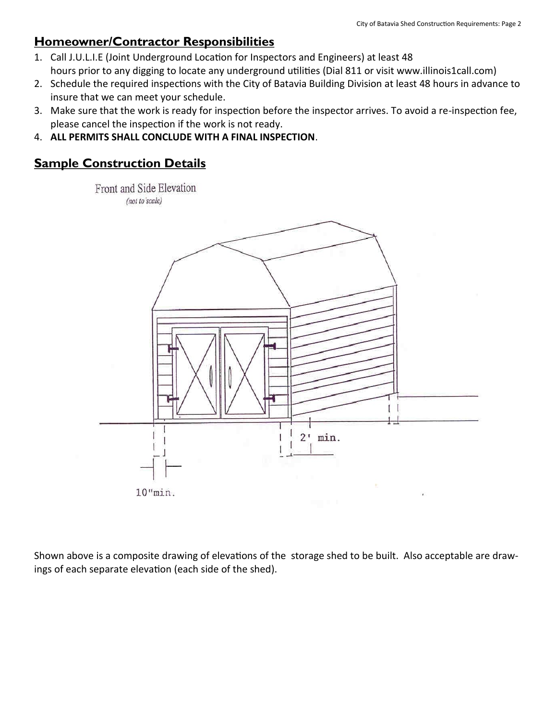### **Homeowner/Contractor Responsibilities**

- 1. Call J.U.L.I.E (Joint Underground Location for Inspectors and Engineers) at least 48 hours prior to any digging to locate any underground utilities (Dial 811 or visit www.illinois1call.com)
- 2. Schedule the required inspections with the City of Batavia Building Division at least 48 hours in advance to insure that we can meet your schedule.
- 3. Make sure that the work is ready for inspection before the inspector arrives. To avoid a re-inspection fee, please cancel the inspection if the work is not ready.
- 4. **ALL PERMITS SHALL CONCLUDE WITH A FINAL INSPECTION**.

#### **Sample Construction Details**

Front and Side Elevation (not to scale)



Shown above is a composite drawing of elevations of the storage shed to be built. Also acceptable are drawings of each separate elevation (each side of the shed).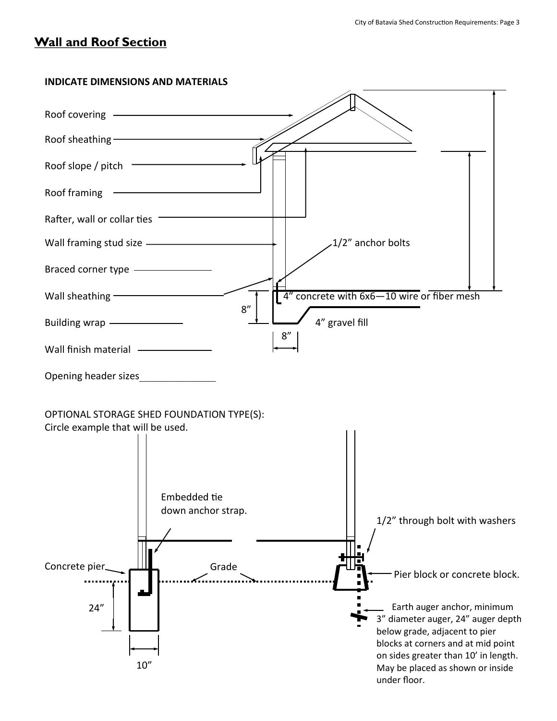#### **Wall and Roof Section**